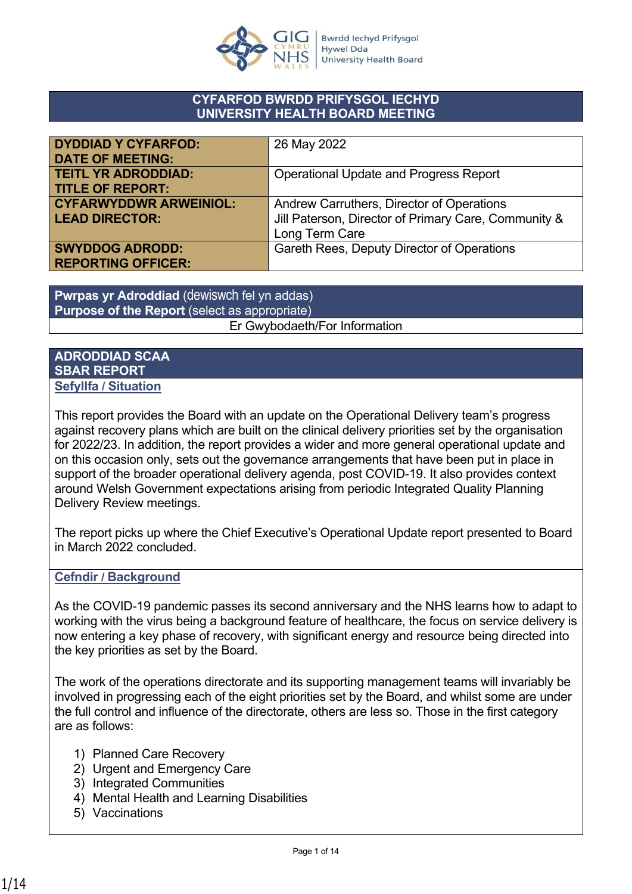

#### **CYFARFOD BWRDD PRIFYSGOL IECHYD UNIVERSITY HEALTH BOARD MEETING**

| <b>DYDDIAD Y CYFARFOD:</b>    | 26 May 2022                                          |
|-------------------------------|------------------------------------------------------|
| <b>DATE OF MEETING:</b>       |                                                      |
| <b>TEITL YR ADRODDIAD:</b>    | <b>Operational Update and Progress Report</b>        |
| <b>TITLE OF REPORT:</b>       |                                                      |
| <b>CYFARWYDDWR ARWEINIOL:</b> | Andrew Carruthers, Director of Operations            |
| <b>LEAD DIRECTOR:</b>         | Jill Paterson, Director of Primary Care, Community & |
|                               | Long Term Care                                       |
| <b>SWYDDOG ADRODD:</b>        | Gareth Rees, Deputy Director of Operations           |
| <b>REPORTING OFFICER:</b>     |                                                      |

**Pwrpas yr Adroddiad** (dewiswch fel yn addas) **Purpose of the Report** (select as appropriate) Er Gwybodaeth/For Information

#### **ADRODDIAD SCAA SBAR REPORT Sefyllfa / Situation**

This report provides the Board with an update on the Operational Delivery team's progress against recovery plans which are built on the clinical delivery priorities set by the organisation for 2022/23. In addition, the report provides a wider and more general operational update and on this occasion only, sets out the governance arrangements that have been put in place in support of the broader operational delivery agenda, post COVID-19. It also provides context around Welsh Government expectations arising from periodic Integrated Quality Planning Delivery Review meetings.

The report picks up where the Chief Executive's Operational Update report presented to Board in March 2022 concluded.

#### **Cefndir / Background**

As the COVID-19 pandemic passes its second anniversary and the NHS learns how to adapt to working with the virus being a background feature of healthcare, the focus on service delivery is now entering a key phase of recovery, with significant energy and resource being directed into the key priorities as set by the Board.

The work of the operations directorate and its supporting management teams will invariably be involved in progressing each of the eight priorities set by the Board, and whilst some are under the full control and influence of the directorate, others are less so. Those in the first category are as follows:

- 1) Planned Care Recovery
- 2) Urgent and Emergency Care
- 3) Integrated Communities
- 4) Mental Health and Learning Disabilities
- 5) Vaccinations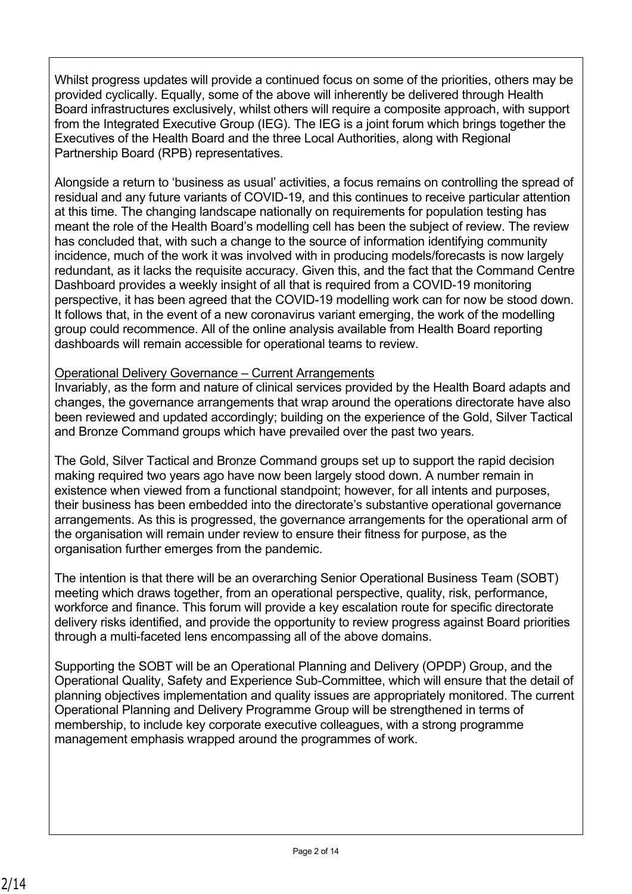Whilst progress updates will provide a continued focus on some of the priorities, others may be provided cyclically. Equally, some of the above will inherently be delivered through Health Board infrastructures exclusively, whilst others will require a composite approach, with support from the Integrated Executive Group (IEG). The IEG is a joint forum which brings together the Executives of the Health Board and the three Local Authorities, along with Regional Partnership Board (RPB) representatives.

Alongside a return to 'business as usual' activities, a focus remains on controlling the spread of residual and any future variants of COVID-19, and this continues to receive particular attention at this time. The changing landscape nationally on requirements for population testing has meant the role of the Health Board's modelling cell has been the subject of review. The review has concluded that, with such a change to the source of information identifying community incidence, much of the work it was involved with in producing models/forecasts is now largely redundant, as it lacks the requisite accuracy. Given this, and the fact that the Command Centre Dashboard provides a weekly insight of all that is required from a COVID-19 monitoring perspective, it has been agreed that the COVID-19 modelling work can for now be stood down. It follows that, in the event of a new coronavirus variant emerging, the work of the modelling group could recommence. All of the online analysis available from Health Board reporting dashboards will remain accessible for operational teams to review.

### Operational Delivery Governance – Current Arrangements

Invariably, as the form and nature of clinical services provided by the Health Board adapts and changes, the governance arrangements that wrap around the operations directorate have also been reviewed and updated accordingly; building on the experience of the Gold, Silver Tactical and Bronze Command groups which have prevailed over the past two years.

The Gold, Silver Tactical and Bronze Command groups set up to support the rapid decision making required two years ago have now been largely stood down. A number remain in existence when viewed from a functional standpoint; however, for all intents and purposes, their business has been embedded into the directorate's substantive operational governance arrangements. As this is progressed, the governance arrangements for the operational arm of the organisation will remain under review to ensure their fitness for purpose, as the organisation further emerges from the pandemic.

The intention is that there will be an overarching Senior Operational Business Team (SOBT) meeting which draws together, from an operational perspective, quality, risk, performance, workforce and finance. This forum will provide a key escalation route for specific directorate delivery risks identified, and provide the opportunity to review progress against Board priorities through a multi-faceted lens encompassing all of the above domains.

Supporting the SOBT will be an Operational Planning and Delivery (OPDP) Group, and the Operational Quality, Safety and Experience Sub-Committee, which will ensure that the detail of planning objectives implementation and quality issues are appropriately monitored. The current Operational Planning and Delivery Programme Group will be strengthened in terms of membership, to include key corporate executive colleagues, with a strong programme management emphasis wrapped around the programmes of work.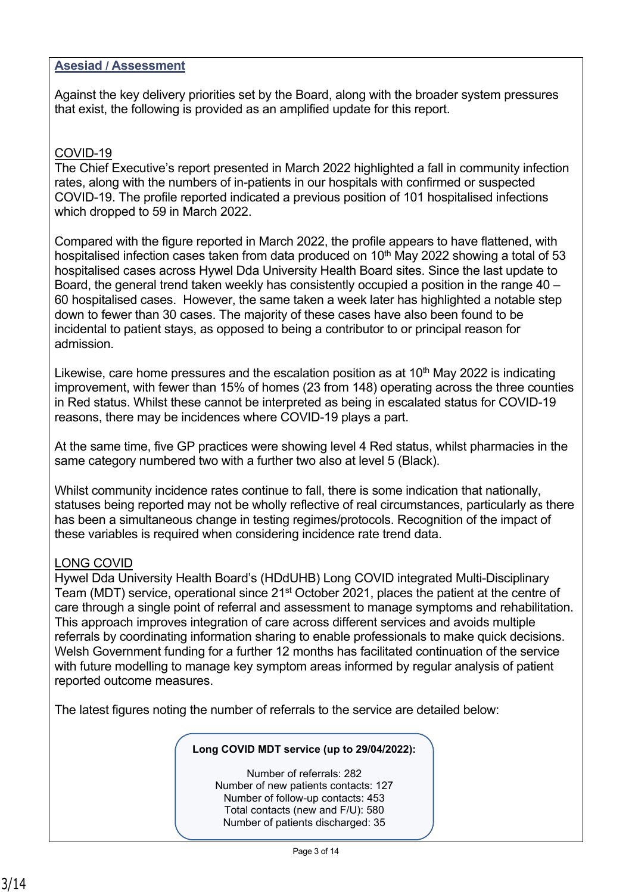#### **Asesiad / Assessment**

Against the key delivery priorities set by the Board, along with the broader system pressures that exist, the following is provided as an amplified update for this report.

#### COVID-19

The Chief Executive's report presented in March 2022 highlighted a fall in community infection rates, along with the numbers of in-patients in our hospitals with confirmed or suspected COVID-19. The profile reported indicated a previous position of 101 hospitalised infections which dropped to 59 in March 2022.

Compared with the figure reported in March 2022, the profile appears to have flattened, with hospitalised infection cases taken from data produced on  $10<sup>th</sup>$  May 2022 showing a total of 53 hospitalised cases across Hywel Dda University Health Board sites. Since the last update to Board, the general trend taken weekly has consistently occupied a position in the range 40 – 60 hospitalised cases. However, the same taken a week later has highlighted a notable step down to fewer than 30 cases. The majority of these cases have also been found to be incidental to patient stays, as opposed to being a contributor to or principal reason for admission.

Likewise, care home pressures and the escalation position as at  $10<sup>th</sup>$  May 2022 is indicating improvement, with fewer than 15% of homes (23 from 148) operating across the three counties in Red status. Whilst these cannot be interpreted as being in escalated status for COVID-19 reasons, there may be incidences where COVID-19 plays a part.

At the same time, five GP practices were showing level 4 Red status, whilst pharmacies in the same category numbered two with a further two also at level 5 (Black).

Whilst community incidence rates continue to fall, there is some indication that nationally, statuses being reported may not be wholly reflective of real circumstances, particularly as there has been a simultaneous change in testing regimes/protocols. Recognition of the impact of these variables is required when considering incidence rate trend data.

### LONG COVID

Hywel Dda University Health Board's (HDdUHB) Long COVID integrated Multi-Disciplinary Team (MDT) service, operational since 21<sup>st</sup> October 2021, places the patient at the centre of care through a single point of referral and assessment to manage symptoms and rehabilitation. This approach improves integration of care across different services and avoids multiple referrals by coordinating information sharing to enable professionals to make quick decisions. Welsh Government funding for a further 12 months has facilitated continuation of the service with future modelling to manage key symptom areas informed by regular analysis of patient reported outcome measures.

The latest figures noting the number of referrals to the service are detailed below:

#### **Long COVID MDT service (up to 29/04/2022):**

Number of referrals: 282 Number of new patients contacts: 127 Number of follow-up contacts: 453 Total contacts (new and F/U): 580 Number of patients discharged: 35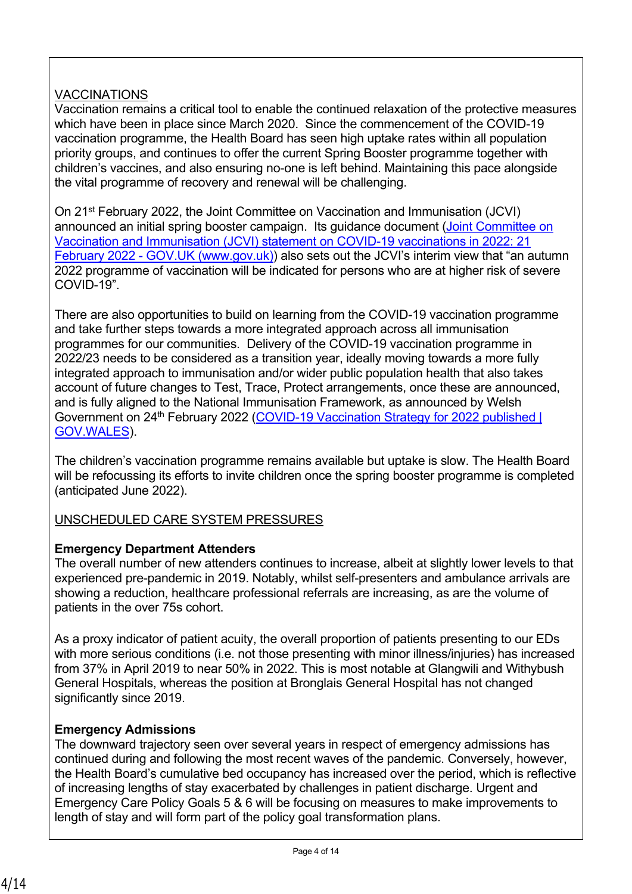# **VACCINATIONS**

Vaccination remains a critical tool to enable the continued relaxation of the protective measures which have been in place since March 2020. Since the commencement of the COVID-19 vaccination programme, the Health Board has seen high uptake rates within all population priority groups, and continues to offer the current Spring Booster programme together with children's vaccines, and also ensuring no-one is left behind. Maintaining this pace alongside the vital programme of recovery and renewal will be challenging.

On 21st February 2022, the Joint Committee on Vaccination and Immunisation (JCVI) announced an initial spring booster campaign. Its guidance document [\(Joint Committee on](https://www.gov.uk/government/publications/joint-committee-on-vaccination-and-immunisation-statement-on-covid-19-vaccinations-in-2022/joint-committee-on-vaccination-and-immunisation-jcvi-statement-on-covid-19-vaccinations-in-2022-21-february-2022)  [Vaccination and Immunisation \(JCVI\) statement on COVID-19 vaccinations in 2022: 21](https://www.gov.uk/government/publications/joint-committee-on-vaccination-and-immunisation-statement-on-covid-19-vaccinations-in-2022/joint-committee-on-vaccination-and-immunisation-jcvi-statement-on-covid-19-vaccinations-in-2022-21-february-2022)  [February 2022 - GOV.UK \(](https://www.gov.uk/government/publications/joint-committee-on-vaccination-and-immunisation-statement-on-covid-19-vaccinations-in-2022/joint-committee-on-vaccination-and-immunisation-jcvi-statement-on-covid-19-vaccinations-in-2022-21-february-2022)[www.gov.uk\)\)](http://www.gov.uk)/) also sets out the JCVI's interim view that "an autumn 2022 programme of vaccination will be indicated for persons who are at higher risk of severe COVID-19".

There are also opportunities to build on learning from the COVID-19 vaccination programme and take further steps towards a more integrated approach across all immunisation programmes for our communities. Delivery of the COVID-19 vaccination programme in 2022/23 needs to be considered as a transition year, ideally moving towards a more fully integrated approach to immunisation and/or wider public population health that also takes account of future changes to Test, Trace, Protect arrangements, once these are announced, and is fully aligned to the National Immunisation Framework, as announced by Welsh Government on 24<sup>th</sup> February 2022 (COVID-19 Vaccination Strategy for 2022 published | [GOV.WALES](https://gov.wales/covid-19-vaccination-strategy-2022-published)).

The children's vaccination programme remains available but uptake is slow. The Health Board will be refocussing its efforts to invite children once the spring booster programme is completed (anticipated June 2022).

UNSCHEDULED CARE SYSTEM PRESSURES

# **Emergency Department Attenders**

The overall number of new attenders continues to increase, albeit at slightly lower levels to that experienced pre-pandemic in 2019. Notably, whilst self-presenters and ambulance arrivals are showing a reduction, healthcare professional referrals are increasing, as are the volume of patients in the over 75s cohort.

As a proxy indicator of patient acuity, the overall proportion of patients presenting to our EDs with more serious conditions (i.e. not those presenting with minor illness/injuries) has increased from 37% in April 2019 to near 50% in 2022. This is most notable at Glangwili and Withybush General Hospitals, whereas the position at Bronglais General Hospital has not changed significantly since 2019.

# **Emergency Admissions**

The downward trajectory seen over several years in respect of emergency admissions has continued during and following the most recent waves of the pandemic. Conversely, however, the Health Board's cumulative bed occupancy has increased over the period, which is reflective of increasing lengths of stay exacerbated by challenges in patient discharge. Urgent and Emergency Care Policy Goals 5 & 6 will be focusing on measures to make improvements to length of stay and will form part of the policy goal transformation plans.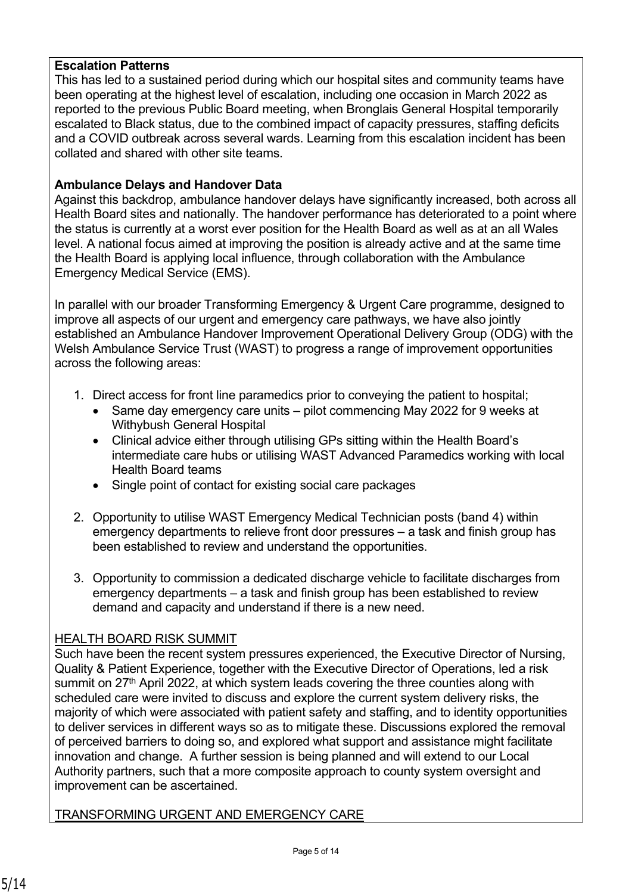#### **Escalation Patterns**

This has led to a sustained period during which our hospital sites and community teams have been operating at the highest level of escalation, including one occasion in March 2022 as reported to the previous Public Board meeting, when Bronglais General Hospital temporarily escalated to Black status, due to the combined impact of capacity pressures, staffing deficits and a COVID outbreak across several wards. Learning from this escalation incident has been collated and shared with other site teams.

#### **Ambulance Delays and Handover Data**

Against this backdrop, ambulance handover delays have significantly increased, both across all Health Board sites and nationally. The handover performance has deteriorated to a point where the status is currently at a worst ever position for the Health Board as well as at an all Wales level. A national focus aimed at improving the position is already active and at the same time the Health Board is applying local influence, through collaboration with the Ambulance Emergency Medical Service (EMS).

In parallel with our broader Transforming Emergency & Urgent Care programme, designed to improve all aspects of our urgent and emergency care pathways, we have also jointly established an Ambulance Handover Improvement Operational Delivery Group (ODG) with the Welsh Ambulance Service Trust (WAST) to progress a range of improvement opportunities across the following areas:

- 1. Direct access for front line paramedics prior to conveying the patient to hospital;
	- Same day emergency care units pilot commencing May 2022 for 9 weeks at Withybush General Hospital
	- Clinical advice either through utilising GPs sitting within the Health Board's intermediate care hubs or utilising WAST Advanced Paramedics working with local Health Board teams
	- Single point of contact for existing social care packages
- 2. Opportunity to utilise WAST Emergency Medical Technician posts (band 4) within emergency departments to relieve front door pressures – a task and finish group has been established to review and understand the opportunities.
- 3. Opportunity to commission a dedicated discharge vehicle to facilitate discharges from emergency departments – a task and finish group has been established to review demand and capacity and understand if there is a new need.

### HEALTH BOARD RISK SUMMIT

Such have been the recent system pressures experienced, the Executive Director of Nursing, Quality & Patient Experience, together with the Executive Director of Operations, led a risk summit on 27<sup>th</sup> April 2022, at which system leads covering the three counties along with scheduled care were invited to discuss and explore the current system delivery risks, the majority of which were associated with patient safety and staffing, and to identity opportunities to deliver services in different ways so as to mitigate these. Discussions explored the removal of perceived barriers to doing so, and explored what support and assistance might facilitate innovation and change. A further session is being planned and will extend to our Local Authority partners, such that a more composite approach to county system oversight and improvement can be ascertained.

### TRANSFORMING URGENT AND EMERGENCY CARE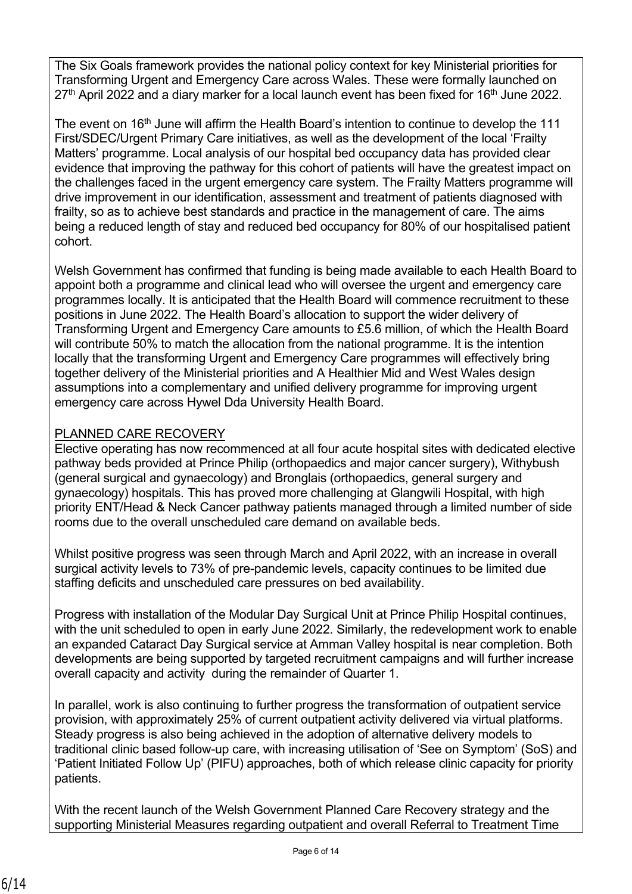The Six Goals framework provides the national policy context for key Ministerial priorities for Transforming Urgent and Emergency Care across Wales. These were formally launched on  $27<sup>th</sup>$  April 2022 and a diary marker for a local launch event has been fixed for 16<sup>th</sup> June 2022.

The event on 16<sup>th</sup> June will affirm the Health Board's intention to continue to develop the 111 First/SDEC/Urgent Primary Care initiatives, as well as the development of the local 'Frailty Matters' programme. Local analysis of our hospital bed occupancy data has provided clear evidence that improving the pathway for this cohort of patients will have the greatest impact on the challenges faced in the urgent emergency care system. The Frailty Matters programme will drive improvement in our identification, assessment and treatment of patients diagnosed with frailty, so as to achieve best standards and practice in the management of care. The aims being a reduced length of stay and reduced bed occupancy for 80% of our hospitalised patient cohort.

Welsh Government has confirmed that funding is being made available to each Health Board to appoint both a programme and clinical lead who will oversee the urgent and emergency care programmes locally. It is anticipated that the Health Board will commence recruitment to these positions in June 2022. The Health Board's allocation to support the wider delivery of Transforming Urgent and Emergency Care amounts to £5.6 million, of which the Health Board will contribute 50% to match the allocation from the national programme. It is the intention locally that the transforming Urgent and Emergency Care programmes will effectively bring together delivery of the Ministerial priorities and A Healthier Mid and West Wales design assumptions into a complementary and unified delivery programme for improving urgent emergency care across Hywel Dda University Health Board.

# PLANNED CARE RECOVERY

Elective operating has now recommenced at all four acute hospital sites with dedicated elective pathway beds provided at Prince Philip (orthopaedics and major cancer surgery), Withybush (general surgical and gynaecology) and Bronglais (orthopaedics, general surgery and gynaecology) hospitals. This has proved more challenging at Glangwili Hospital, with high priority ENT/Head & Neck Cancer pathway patients managed through a limited number of side rooms due to the overall unscheduled care demand on available beds.

Whilst positive progress was seen through March and April 2022, with an increase in overall surgical activity levels to 73% of pre-pandemic levels, capacity continues to be limited due staffing deficits and unscheduled care pressures on bed availability.

Progress with installation of the Modular Day Surgical Unit at Prince Philip Hospital continues, with the unit scheduled to open in early June 2022. Similarly, the redevelopment work to enable an expanded Cataract Day Surgical service at Amman Valley hospital is near completion. Both developments are being supported by targeted recruitment campaigns and will further increase overall capacity and activity during the remainder of Quarter 1.

In parallel, work is also continuing to further progress the transformation of outpatient service provision, with approximately 25% of current outpatient activity delivered via virtual platforms. Steady progress is also being achieved in the adoption of alternative delivery models to traditional clinic based follow-up care, with increasing utilisation of 'See on Symptom' (SoS) and 'Patient Initiated Follow Up' (PIFU) approaches, both of which release clinic capacity for priority patients.

With the recent launch of the Welsh Government Planned Care Recovery strategy and the supporting Ministerial Measures regarding outpatient and overall Referral to Treatment Time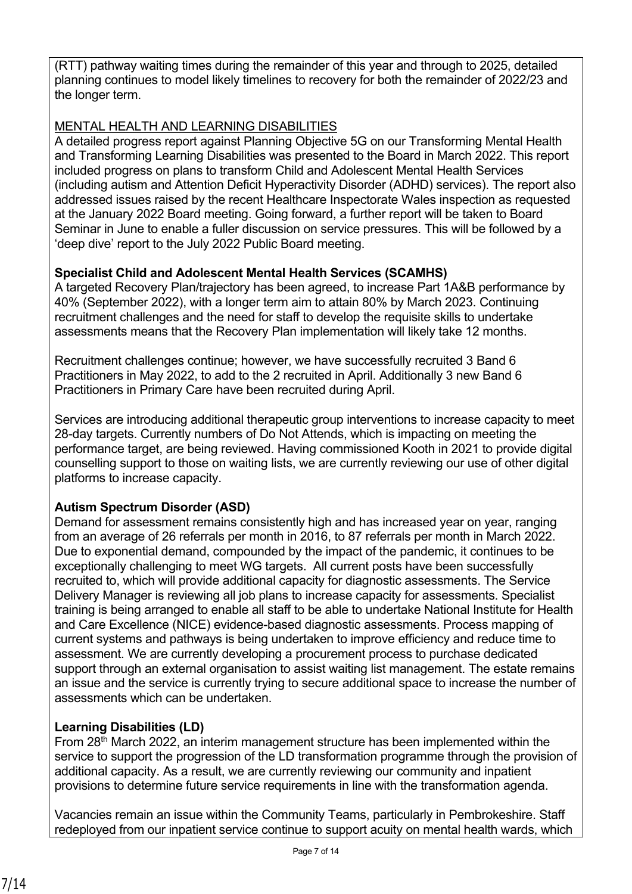(RTT) pathway waiting times during the remainder of this year and through to 2025, detailed planning continues to model likely timelines to recovery for both the remainder of 2022/23 and the longer term.

# MENTAL HEALTH AND LEARNING DISABILITIES

A detailed progress report against Planning Objective 5G on our Transforming Mental Health and Transforming Learning Disabilities was presented to the Board in March 2022. This report included progress on plans to transform Child and Adolescent Mental Health Services (including autism and Attention Deficit Hyperactivity Disorder (ADHD) services). The report also addressed issues raised by the recent Healthcare Inspectorate Wales inspection as requested at the January 2022 Board meeting. Going forward, a further report will be taken to Board Seminar in June to enable a fuller discussion on service pressures. This will be followed by a 'deep dive' report to the July 2022 Public Board meeting.

### **Specialist Child and Adolescent Mental Health Services (SCAMHS)**

A targeted Recovery Plan/trajectory has been agreed, to increase Part 1A&B performance by 40% (September 2022), with a longer term aim to attain 80% by March 2023. Continuing recruitment challenges and the need for staff to develop the requisite skills to undertake assessments means that the Recovery Plan implementation will likely take 12 months.

Recruitment challenges continue; however, we have successfully recruited 3 Band 6 Practitioners in May 2022, to add to the 2 recruited in April. Additionally 3 new Band 6 Practitioners in Primary Care have been recruited during April.

Services are introducing additional therapeutic group interventions to increase capacity to meet 28-day targets. Currently numbers of Do Not Attends, which is impacting on meeting the performance target, are being reviewed. Having commissioned Kooth in 2021 to provide digital counselling support to those on waiting lists, we are currently reviewing our use of other digital platforms to increase capacity.

# **Autism Spectrum Disorder (ASD)**

Demand for assessment remains consistently high and has increased year on year, ranging from an average of 26 referrals per month in 2016, to 87 referrals per month in March 2022. Due to exponential demand, compounded by the impact of the pandemic, it continues to be exceptionally challenging to meet WG targets. All current posts have been successfully recruited to, which will provide additional capacity for diagnostic assessments. The Service Delivery Manager is reviewing all job plans to increase capacity for assessments. Specialist training is being arranged to enable all staff to be able to undertake National Institute for Health and Care Excellence (NICE) evidence-based diagnostic assessments. Process mapping of current systems and pathways is being undertaken to improve efficiency and reduce time to assessment. We are currently developing a procurement process to purchase dedicated support through an external organisation to assist waiting list management. The estate remains an issue and the service is currently trying to secure additional space to increase the number of assessments which can be undertaken.

# **Learning Disabilities (LD)**

From 28th March 2022, an interim management structure has been implemented within the service to support the progression of the LD transformation programme through the provision of additional capacity. As a result, we are currently reviewing our community and inpatient provisions to determine future service requirements in line with the transformation agenda.

Vacancies remain an issue within the Community Teams, particularly in Pembrokeshire. Staff redeployed from our inpatient service continue to support acuity on mental health wards, which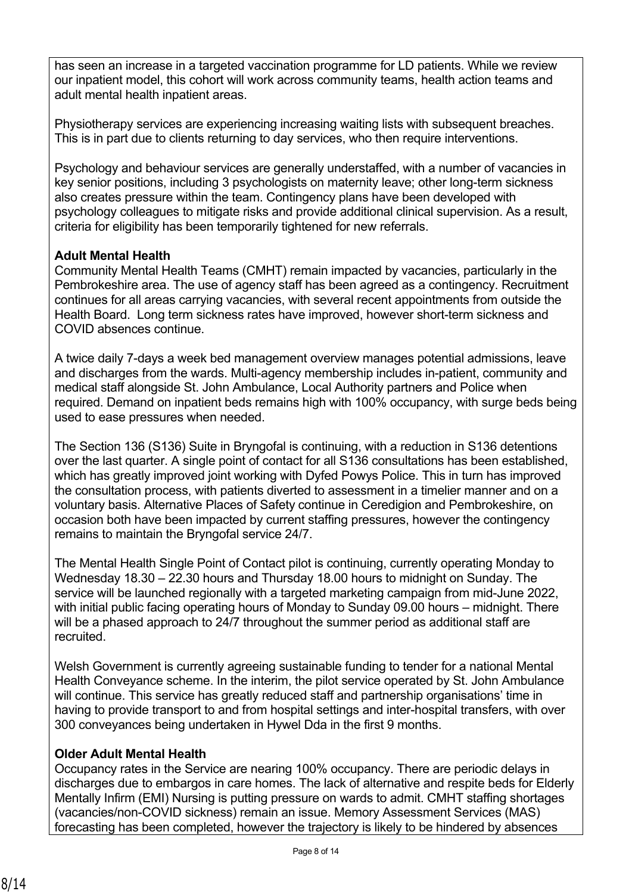has seen an increase in a targeted vaccination programme for LD patients. While we review our inpatient model, this cohort will work across community teams, health action teams and adult mental health inpatient areas.

Physiotherapy services are experiencing increasing waiting lists with subsequent breaches. This is in part due to clients returning to day services, who then require interventions.

Psychology and behaviour services are generally understaffed, with a number of vacancies in key senior positions, including 3 psychologists on maternity leave; other long-term sickness also creates pressure within the team. Contingency plans have been developed with psychology colleagues to mitigate risks and provide additional clinical supervision. As a result, criteria for eligibility has been temporarily tightened for new referrals.

### **Adult Mental Health**

Community Mental Health Teams (CMHT) remain impacted by vacancies, particularly in the Pembrokeshire area. The use of agency staff has been agreed as a contingency. Recruitment continues for all areas carrying vacancies, with several recent appointments from outside the Health Board. Long term sickness rates have improved, however short-term sickness and COVID absences continue.

A twice daily 7-days a week bed management overview manages potential admissions, leave and discharges from the wards. Multi-agency membership includes in-patient, community and medical staff alongside St. John Ambulance, Local Authority partners and Police when required. Demand on inpatient beds remains high with 100% occupancy, with surge beds being used to ease pressures when needed.

The Section 136 (S136) Suite in Bryngofal is continuing, with a reduction in S136 detentions over the last quarter. A single point of contact for all S136 consultations has been established, which has greatly improved joint working with Dyfed Powys Police. This in turn has improved the consultation process, with patients diverted to assessment in a timelier manner and on a voluntary basis. Alternative Places of Safety continue in Ceredigion and Pembrokeshire, on occasion both have been impacted by current staffing pressures, however the contingency remains to maintain the Bryngofal service 24/7.

The Mental Health Single Point of Contact pilot is continuing, currently operating Monday to Wednesday 18.30 – 22.30 hours and Thursday 18.00 hours to midnight on Sunday. The service will be launched regionally with a targeted marketing campaign from mid-June 2022, with initial public facing operating hours of Monday to Sunday 09.00 hours – midnight. There will be a phased approach to 24/7 throughout the summer period as additional staff are recruited.

Welsh Government is currently agreeing sustainable funding to tender for a national Mental Health Conveyance scheme. In the interim, the pilot service operated by St. John Ambulance will continue. This service has greatly reduced staff and partnership organisations' time in having to provide transport to and from hospital settings and inter-hospital transfers, with over 300 conveyances being undertaken in Hywel Dda in the first 9 months.

# **Older Adult Mental Health**

Occupancy rates in the Service are nearing 100% occupancy. There are periodic delays in discharges due to embargos in care homes. The lack of alternative and respite beds for Elderly Mentally Infirm (EMI) Nursing is putting pressure on wards to admit. CMHT staffing shortages (vacancies/non-COVID sickness) remain an issue. Memory Assessment Services (MAS) forecasting has been completed, however the trajectory is likely to be hindered by absences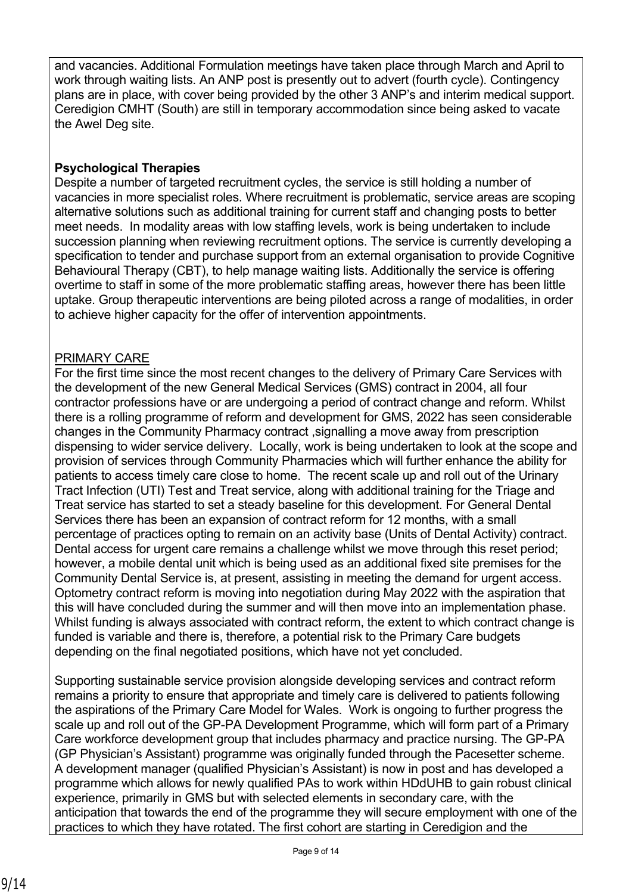and vacancies. Additional Formulation meetings have taken place through March and April to work through waiting lists. An ANP post is presently out to advert (fourth cycle). Contingency plans are in place, with cover being provided by the other 3 ANP's and interim medical support. Ceredigion CMHT (South) are still in temporary accommodation since being asked to vacate the Awel Deg site.

### **Psychological Therapies**

Despite a number of targeted recruitment cycles, the service is still holding a number of vacancies in more specialist roles. Where recruitment is problematic, service areas are scoping alternative solutions such as additional training for current staff and changing posts to better meet needs. In modality areas with low staffing levels, work is being undertaken to include succession planning when reviewing recruitment options. The service is currently developing a specification to tender and purchase support from an external organisation to provide Cognitive Behavioural Therapy (CBT), to help manage waiting lists. Additionally the service is offering overtime to staff in some of the more problematic staffing areas, however there has been little uptake. Group therapeutic interventions are being piloted across a range of modalities, in order to achieve higher capacity for the offer of intervention appointments.

### PRIMARY CARE

For the first time since the most recent changes to the delivery of Primary Care Services with the development of the new General Medical Services (GMS) contract in 2004, all four contractor professions have or are undergoing a period of contract change and reform. Whilst there is a rolling programme of reform and development for GMS, 2022 has seen considerable changes in the Community Pharmacy contract ,signalling a move away from prescription dispensing to wider service delivery. Locally, work is being undertaken to look at the scope and provision of services through Community Pharmacies which will further enhance the ability for patients to access timely care close to home. The recent scale up and roll out of the Urinary Tract Infection (UTI) Test and Treat service, along with additional training for the Triage and Treat service has started to set a steady baseline for this development. For General Dental Services there has been an expansion of contract reform for 12 months, with a small percentage of practices opting to remain on an activity base (Units of Dental Activity) contract. Dental access for urgent care remains a challenge whilst we move through this reset period; however, a mobile dental unit which is being used as an additional fixed site premises for the Community Dental Service is, at present, assisting in meeting the demand for urgent access. Optometry contract reform is moving into negotiation during May 2022 with the aspiration that this will have concluded during the summer and will then move into an implementation phase. Whilst funding is always associated with contract reform, the extent to which contract change is funded is variable and there is, therefore, a potential risk to the Primary Care budgets depending on the final negotiated positions, which have not yet concluded.

Supporting sustainable service provision alongside developing services and contract reform remains a priority to ensure that appropriate and timely care is delivered to patients following the aspirations of the Primary Care Model for Wales. Work is ongoing to further progress the scale up and roll out of the GP-PA Development Programme, which will form part of a Primary Care workforce development group that includes pharmacy and practice nursing. The GP-PA (GP Physician's Assistant) programme was originally funded through the Pacesetter scheme. A development manager (qualified Physician's Assistant) is now in post and has developed a programme which allows for newly qualified PAs to work within HDdUHB to gain robust clinical experience, primarily in GMS but with selected elements in secondary care, with the anticipation that towards the end of the programme they will secure employment with one of the practices to which they have rotated. The first cohort are starting in Ceredigion and the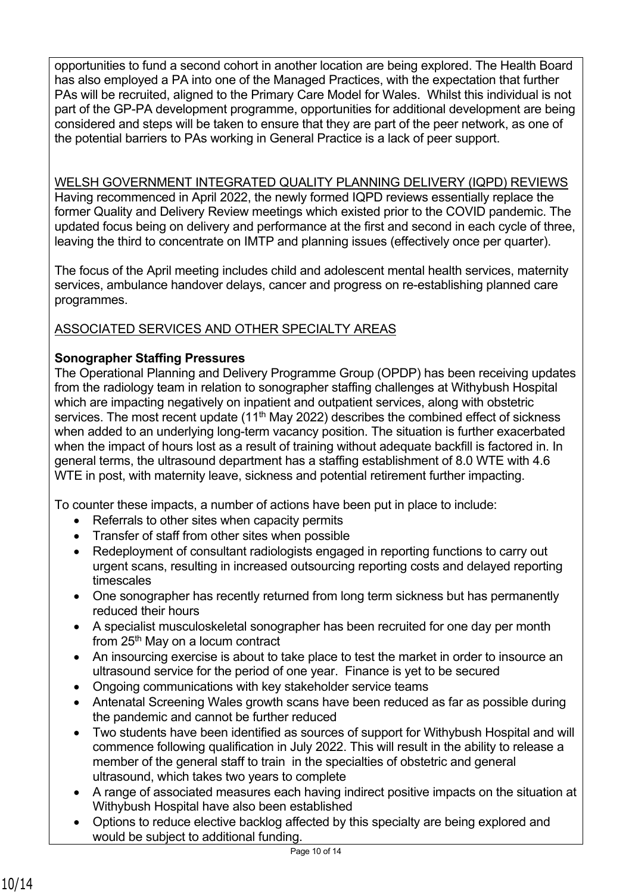opportunities to fund a second cohort in another location are being explored. The Health Board has also employed a PA into one of the Managed Practices, with the expectation that further PAs will be recruited, aligned to the Primary Care Model for Wales. Whilst this individual is not part of the GP-PA development programme, opportunities for additional development are being considered and steps will be taken to ensure that they are part of the peer network, as one of the potential barriers to PAs working in General Practice is a lack of peer support.

# WELSH GOVERNMENT INTEGRATED QUALITY PLANNING DELIVERY (IQPD) REVIEWS

Having recommenced in April 2022, the newly formed IQPD reviews essentially replace the former Quality and Delivery Review meetings which existed prior to the COVID pandemic. The updated focus being on delivery and performance at the first and second in each cycle of three, leaving the third to concentrate on IMTP and planning issues (effectively once per quarter).

The focus of the April meeting includes child and adolescent mental health services, maternity services, ambulance handover delays, cancer and progress on re-establishing planned care programmes.

# ASSOCIATED SERVICES AND OTHER SPECIALTY AREAS

# **Sonographer Staffing Pressures**

The Operational Planning and Delivery Programme Group (OPDP) has been receiving updates from the radiology team in relation to sonographer staffing challenges at Withybush Hospital which are impacting negatively on inpatient and outpatient services, along with obstetric services. The most recent update  $(11<sup>th</sup>$  May 2022) describes the combined effect of sickness when added to an underlying long-term vacancy position. The situation is further exacerbated when the impact of hours lost as a result of training without adequate backfill is factored in. In general terms, the ultrasound department has a staffing establishment of 8.0 WTE with 4.6 WTE in post, with maternity leave, sickness and potential retirement further impacting.

To counter these impacts, a number of actions have been put in place to include:

- Referrals to other sites when capacity permits
- Transfer of staff from other sites when possible
- Redeployment of consultant radiologists engaged in reporting functions to carry out urgent scans, resulting in increased outsourcing reporting costs and delayed reporting timescales
- One sonographer has recently returned from long term sickness but has permanently reduced their hours
- A specialist musculoskeletal sonographer has been recruited for one day per month from 25<sup>th</sup> May on a locum contract
- An insourcing exercise is about to take place to test the market in order to insource an ultrasound service for the period of one year. Finance is yet to be secured
- Ongoing communications with key stakeholder service teams
- Antenatal Screening Wales growth scans have been reduced as far as possible during the pandemic and cannot be further reduced
- Two students have been identified as sources of support for Withybush Hospital and will commence following qualification in July 2022. This will result in the ability to release a member of the general staff to train in the specialties of obstetric and general ultrasound, which takes two years to complete
- A range of associated measures each having indirect positive impacts on the situation at Withybush Hospital have also been established
- Options to reduce elective backlog affected by this specialty are being explored and would be subject to additional funding.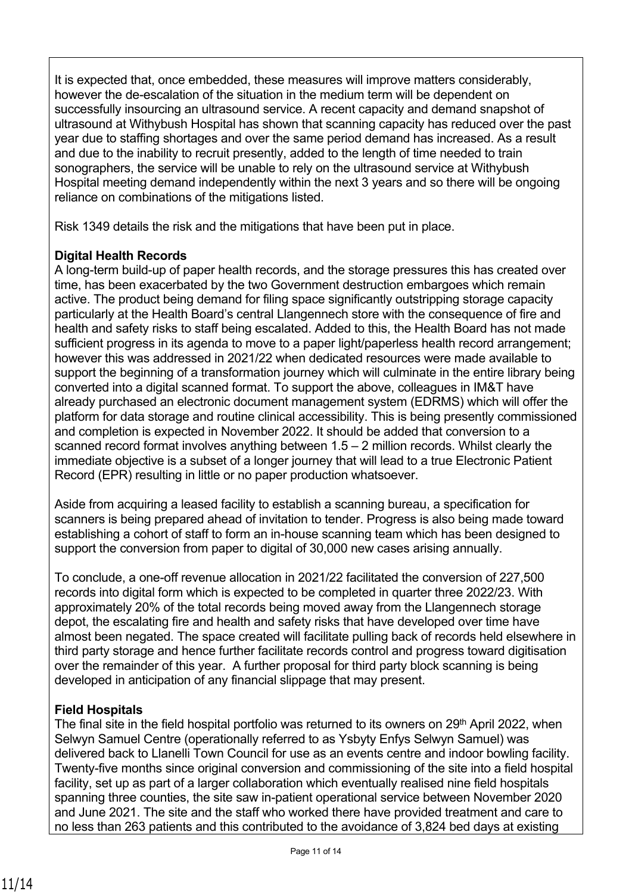It is expected that, once embedded, these measures will improve matters considerably, however the de-escalation of the situation in the medium term will be dependent on successfully insourcing an ultrasound service. A recent capacity and demand snapshot of ultrasound at Withybush Hospital has shown that scanning capacity has reduced over the past year due to staffing shortages and over the same period demand has increased. As a result and due to the inability to recruit presently, added to the length of time needed to train sonographers, the service will be unable to rely on the ultrasound service at Withybush Hospital meeting demand independently within the next 3 years and so there will be ongoing reliance on combinations of the mitigations listed.

Risk 1349 details the risk and the mitigations that have been put in place.

### **Digital Health Records**

A long-term build-up of paper health records, and the storage pressures this has created over time, has been exacerbated by the two Government destruction embargoes which remain active. The product being demand for filing space significantly outstripping storage capacity particularly at the Health Board's central Llangennech store with the consequence of fire and health and safety risks to staff being escalated. Added to this, the Health Board has not made sufficient progress in its agenda to move to a paper light/paperless health record arrangement; however this was addressed in 2021/22 when dedicated resources were made available to support the beginning of a transformation journey which will culminate in the entire library being converted into a digital scanned format. To support the above, colleagues in IM&T have already purchased an electronic document management system (EDRMS) which will offer the platform for data storage and routine clinical accessibility. This is being presently commissioned and completion is expected in November 2022. It should be added that conversion to a scanned record format involves anything between 1.5 – 2 million records. Whilst clearly the immediate objective is a subset of a longer journey that will lead to a true Electronic Patient Record (EPR) resulting in little or no paper production whatsoever.

Aside from acquiring a leased facility to establish a scanning bureau, a specification for scanners is being prepared ahead of invitation to tender. Progress is also being made toward establishing a cohort of staff to form an in-house scanning team which has been designed to support the conversion from paper to digital of 30,000 new cases arising annually.

To conclude, a one-off revenue allocation in 2021/22 facilitated the conversion of 227,500 records into digital form which is expected to be completed in quarter three 2022/23. With approximately 20% of the total records being moved away from the Llangennech storage depot, the escalating fire and health and safety risks that have developed over time have almost been negated. The space created will facilitate pulling back of records held elsewhere in third party storage and hence further facilitate records control and progress toward digitisation over the remainder of this year. A further proposal for third party block scanning is being developed in anticipation of any financial slippage that may present.

### **Field Hospitals**

The final site in the field hospital portfolio was returned to its owners on 29<sup>th</sup> April 2022, when Selwyn Samuel Centre (operationally referred to as Ysbyty Enfys Selwyn Samuel) was delivered back to Llanelli Town Council for use as an events centre and indoor bowling facility. Twenty-five months since original conversion and commissioning of the site into a field hospital facility, set up as part of a larger collaboration which eventually realised nine field hospitals spanning three counties, the site saw in-patient operational service between November 2020 and June 2021. The site and the staff who worked there have provided treatment and care to no less than 263 patients and this contributed to the avoidance of 3,824 bed days at existing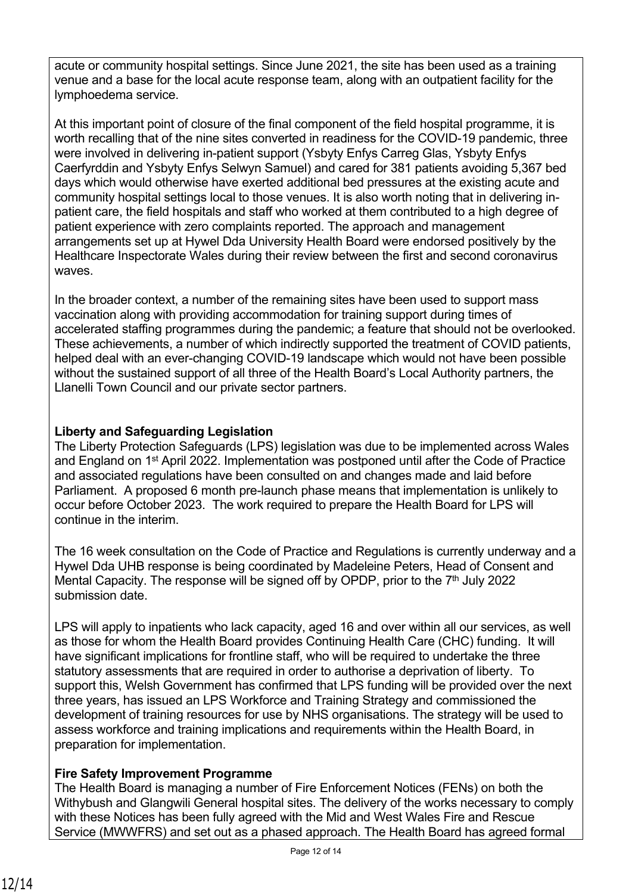acute or community hospital settings. Since June 2021, the site has been used as a training venue and a base for the local acute response team, along with an outpatient facility for the lymphoedema service.

At this important point of closure of the final component of the field hospital programme, it is worth recalling that of the nine sites converted in readiness for the COVID-19 pandemic, three were involved in delivering in-patient support (Ysbyty Enfys Carreg Glas, Ysbyty Enfys Caerfyrddin and Ysbyty Enfys Selwyn Samuel) and cared for 381 patients avoiding 5,367 bed days which would otherwise have exerted additional bed pressures at the existing acute and community hospital settings local to those venues. It is also worth noting that in delivering inpatient care, the field hospitals and staff who worked at them contributed to a high degree of patient experience with zero complaints reported. The approach and management arrangements set up at Hywel Dda University Health Board were endorsed positively by the Healthcare Inspectorate Wales during their review between the first and second coronavirus waves.

In the broader context, a number of the remaining sites have been used to support mass vaccination along with providing accommodation for training support during times of accelerated staffing programmes during the pandemic; a feature that should not be overlooked. These achievements, a number of which indirectly supported the treatment of COVID patients, helped deal with an ever-changing COVID-19 landscape which would not have been possible without the sustained support of all three of the Health Board's Local Authority partners, the Llanelli Town Council and our private sector partners.

# **Liberty and Safeguarding Legislation**

The Liberty Protection Safeguards (LPS) legislation was due to be implemented across Wales and England on 1st April 2022. Implementation was postponed until after the Code of Practice and associated regulations have been consulted on and changes made and laid before Parliament. A proposed 6 month pre-launch phase means that implementation is unlikely to occur before October 2023. The work required to prepare the Health Board for LPS will continue in the interim.

The 16 week consultation on the Code of Practice and Regulations is currently underway and a Hywel Dda UHB response is being coordinated by Madeleine Peters, Head of Consent and Mental Capacity. The response will be signed off by OPDP, prior to the  $7<sup>th</sup>$  July 2022 submission date.

LPS will apply to inpatients who lack capacity, aged 16 and over within all our services, as well as those for whom the Health Board provides Continuing Health Care (CHC) funding. It will have significant implications for frontline staff, who will be required to undertake the three statutory assessments that are required in order to authorise a deprivation of liberty. To support this, Welsh Government has confirmed that LPS funding will be provided over the next three years, has issued an LPS Workforce and Training Strategy and commissioned the development of training resources for use by NHS organisations. The strategy will be used to assess workforce and training implications and requirements within the Health Board, in preparation for implementation.

# **Fire Safety Improvement Programme**

The Health Board is managing a number of Fire Enforcement Notices (FENs) on both the Withybush and Glangwili General hospital sites. The delivery of the works necessary to comply with these Notices has been fully agreed with the Mid and West Wales Fire and Rescue Service (MWWFRS) and set out as a phased approach. The Health Board has agreed formal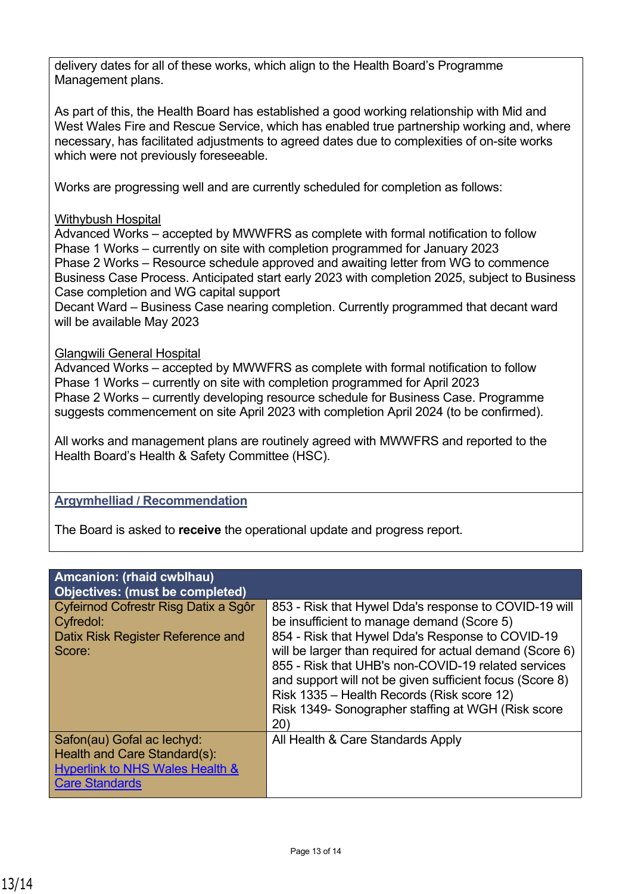delivery dates for all of these works, which align to the Health Board's Programme Management plans.

As part of this, the Health Board has established a good working relationship with Mid and West Wales Fire and Rescue Service, which has enabled true partnership working and, where necessary, has facilitated adjustments to agreed dates due to complexities of on-site works which were not previously foreseeable.

Works are progressing well and are currently scheduled for completion as follows:

#### Withybush Hospital

Advanced Works – accepted by MWWFRS as complete with formal notification to follow Phase 1 Works – currently on site with completion programmed for January 2023 Phase 2 Works – Resource schedule approved and awaiting letter from WG to commence Business Case Process. Anticipated start early 2023 with completion 2025, subject to Business Case completion and WG capital support

Decant Ward – Business Case nearing completion. Currently programmed that decant ward will be available May 2023

#### Glangwili General Hospital

Advanced Works – accepted by MWWFRS as complete with formal notification to follow Phase 1 Works – currently on site with completion programmed for April 2023 Phase 2 Works – currently developing resource schedule for Business Case. Programme suggests commencement on site April 2023 with completion April 2024 (to be confirmed).

All works and management plans are routinely agreed with MWWFRS and reported to the Health Board's Health & Safety Committee (HSC).

### **Argymhelliad / Recommendation**

The Board is asked to **receive** the operational update and progress report.

| <b>Amcanion: (rhaid cwblhau)</b><br><b>Objectives: (must be completed)</b>                                                        |                                                                                                                                                                                                                                                                                                                                                                                                                                                    |
|-----------------------------------------------------------------------------------------------------------------------------------|----------------------------------------------------------------------------------------------------------------------------------------------------------------------------------------------------------------------------------------------------------------------------------------------------------------------------------------------------------------------------------------------------------------------------------------------------|
| Cyfeirnod Cofrestr Risg Datix a Sgôr<br>Cyfredol:<br>Datix Risk Register Reference and<br>Score:                                  | 853 - Risk that Hywel Dda's response to COVID-19 will<br>be insufficient to manage demand (Score 5)<br>854 - Risk that Hywel Dda's Response to COVID-19<br>will be larger than required for actual demand (Score 6)<br>855 - Risk that UHB's non-COVID-19 related services<br>and support will not be given sufficient focus (Score 8)<br>Risk 1335 – Health Records (Risk score 12)<br>Risk 1349- Sonographer staffing at WGH (Risk score<br>(20) |
| Safon(au) Gofal ac lechyd:<br>Health and Care Standard(s):<br><b>Hyperlink to NHS Wales Health &amp;</b><br><b>Care Standards</b> | All Health & Care Standards Apply                                                                                                                                                                                                                                                                                                                                                                                                                  |